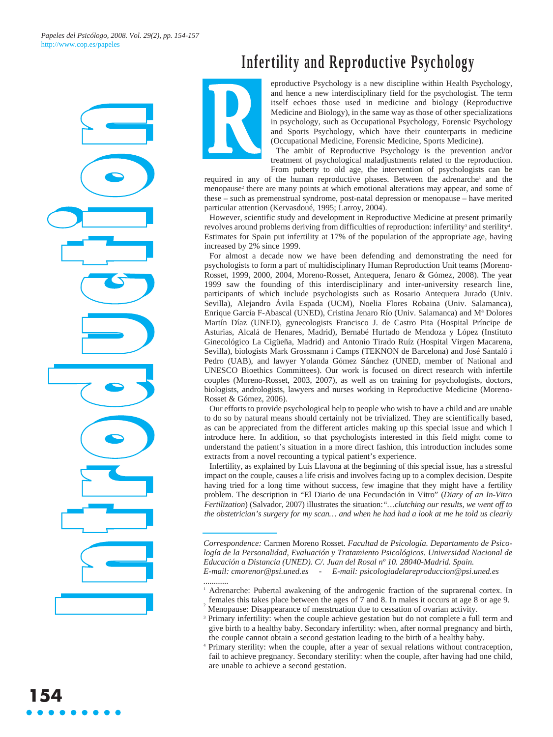



**R**

eproductive Psychology is a new discipline within Health Psychology, and hence a new interdisciplinary field for the psychologist. The term itself echoes those used in medicine and biology (Reproductive Medicine and Biology), in the same way as those of other specializations in psychology, such as Occupational Psychology, Forensic Psychology and Sports Psychology, which have their counterparts in medicine (Occupational Medicine, Forensic Medicine, Sports Medicine).

The ambit of Reproductive Psychology is the prevention and/or treatment of psychological maladjustments related to the reproduction. From puberty to old age, the intervention of psychologists can be

required in any of the human reproductive phases. Between the adrenarche<sup>1</sup> and the menopause<sup>2</sup> there are many points at which emotional alterations may appear, and some of these – such as premenstrual syndrome, post-natal depression or menopause – have merited particular attention (Kervasdoué, 1995; Larroy, 2004).

However, scientific study and development in Reproductive Medicine at present primarily revolves around problems deriving from difficulties of reproduction: infertility<sup>3</sup> and sterility<sup>4</sup>. Estimates for Spain put infertility at 17% of the population of the appropriate age, having increased by 2% since 1999.

For almost a decade now we have been defending and demonstrating the need for psychologists to form a part of multidisciplinary Human Reproduction Unit teams (Moreno-Rosset, 1999, 2000, 2004, Moreno-Rosset, Antequera, Jenaro & Gómez, 2008). The year 1999 saw the founding of this interdisciplinary and inter-university research line, participants of which include psychologists such as Rosario Antequera Jurado (Univ. Sevilla), Alejandro Ávila Espada (UCM), Noelia Flores Robaina (Univ. Salamanca), Enrique García F-Abascal (UNED), Cristina Jenaro Río (Univ. Salamanca) and Mª Dolores Martín Díaz (UNED), gynecologists Francisco J. de Castro Pita (Hospital Príncipe de Asturias, Alcalá de Henares, Madrid), Bernabé Hurtado de Mendoza y López (Instituto Ginecológico La Cigüeña, Madrid) and Antonio Tirado Ruíz (Hospital Virgen Macarena, Sevilla), biologists Mark Grossmann i Camps (TEKNON de Barcelona) and José Santaló i Pedro (UAB), and lawyer Yolanda Gómez Sánchez (UNED, member of National and UNESCO Bioethics Committees). Our work is focused on direct research with infertile couples (Moreno-Rosset, 2003, 2007), as well as on training for psychologists, doctors, biologists, andrologists, lawyers and nurses working in Reproductive Medicine (Moreno-Rosset & Gómez, 2006).

Our efforts to provide psychological help to people who wish to have a child and are unable to do so by natural means should certainly not be trivialized. They are scientifically based, as can be appreciated from the different articles making up this special issue and which I introduce here. In addition, so that psychologists interested in this field might come to understand the patient's situation in a more direct fashion, this introduction includes some extracts from a novel recounting a typical patient's experience.

Infertility, as explained by Luís Llavona at the beginning of this special issue, has a stressful impact on the couple, causes a life crisis and involves facing up to a complex decision. Despite having tried for a long time without success, few imagine that they might have a fertility problem. The description in "El Diario de una Fecundación in Vitro" (*Diary of an In-Vitro Fertilization*) (Salvador, 2007) illustrates the situation:*"…clutching our results, we went off to the obstetrician's surgery for my scan… and when he had had a look at me he told us clearly*

*Correspondence:* Carmen Moreno Rosset. *Facultad de Psicología. Departamento de Psicología de la Personalidad, Evaluación y Tratamiento Psicológicos. Universidad Nacional de Educación a Distancia (UNED). C/. Juan del Rosal nº 10. 28040-Madrid. Spain. E-mail: cmorenor@psi.uned.es - E-mail: psicologiadelareproduccion@psi.uned.es*

*<sup>............</sup>* <sup>1</sup> Adrenarche: Pubertal awakening of the androgenic fraction of the suprarenal cortex. In females this takes place between the ages of 7 and 8. In males it occurs at age 8 or age 9. <sup>2</sup>

Menopause: Disappearance of menstruation due to cessation of ovarian activity.

<sup>&</sup>lt;sup>3</sup> Primary infertility: when the couple achieve gestation but do not complete a full term and give birth to a healthy baby. Secondary infertility: when, after normal pregnancy and birth, the couple cannot obtain a second gestation leading to the birth of a healthy baby.

<sup>4</sup> Primary sterility: when the couple, after a year of sexual relations without contraception, fail to achieve pregnancy. Secondary sterility: when the couple, after having had one child, are unable to achieve a second gestation.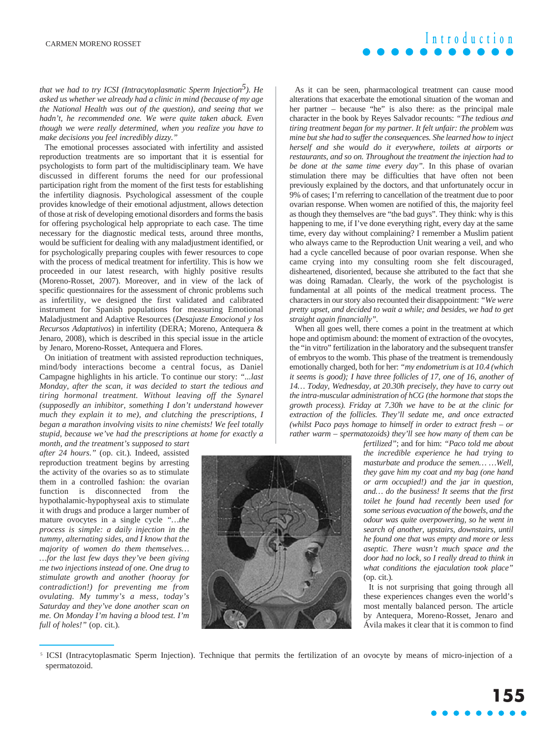*that we had to try ICSI (Intracytoplasmatic Sperm Injection*<sup>5</sup>). He *asked us whether we already had a clinic in mind (because of my age the National Health was out of the question), and seeing that we hadn't, he recommended one. We were quite taken aback. Even though we were really determined, when you realize you have to make decisions you feel incredibly dizzy."*

The emotional processes associated with infertility and assisted reproduction treatments are so important that it is essential for psychologists to form part of the multidisciplinary team. We have discussed in different forums the need for our professional participation right from the moment of the first tests for establishing the infertility diagnosis. Psychological assessment of the couple provides knowledge of their emotional adjustment, allows detection of those at risk of developing emotional disorders and forms the basis for offering psychological help appropriate to each case. The time necessary for the diagnostic medical tests, around three months, would be sufficient for dealing with any maladjustment identified, or for psychologically preparing couples with fewer resources to cope with the process of medical treatment for infertility. This is how we proceeded in our latest research, with highly positive results (Moreno-Rosset, 2007). Moreover, and in view of the lack of specific questionnaires for the assessment of chronic problems such as infertility, we designed the first validated and calibrated instrument for Spanish populations for measuring Emotional Maladjustment and Adaptive Resources (*Desajuste Emocional y los Recursos Adaptativos*) in infertility (DERA; Moreno, Antequera & Jenaro, 2008), which is described in this special issue in the article by Jenaro, Moreno-Rosset, Antequera and Flores.

On initiation of treatment with assisted reproduction techniques, mind/body interactions become a central focus, as Daniel Campagne highlights in his article. To continue our story: *"...last Monday, after the scan, it was decided to start the tedious and tiring hormonal treatment. Without leaving off the Synarel (supposedly an inhibitor, something I don't understand however much they explain it to me), and clutching the prescriptions, I began a marathon involving visits to nine chemists! We feel totally stupid, because we've had the prescriptions at home for exactly a*

*month, and the treatment's supposed to start after 24 hours."* (op. cit.)*.* Indeed, assisted reproduction treatment begins by arresting the activity of the ovaries so as to stimulate them in a controlled fashion: the ovarian function is disconnected from the hypothalamic-hypophyseal axis to stimulate it with drugs and produce a larger number of mature ovocytes in a single cycle *"…the process is simple: a daily injection in the tummy, alternating sides, and I know that the majority of women do them themselves… …for the last few days they've been giving me two injections instead of one. One drug to stimulate growth and another (hooray for contradiction!) for preventing me from ovulating. My tummy's a mess, today's Saturday and they've done another scan on me. On Monday I'm having a blood test. I'm full of holes!"* (op. cit.)*.*

As it can be seen, pharmacological treatment can cause mood alterations that exacerbate the emotional situation of the woman and her partner – because "he" is also there: as the principal male character in the book by Reyes Salvador recounts: *"The tedious and tiring treatment began for my partner. It felt unfair: the problem was mine but she had to suffer the consequences. She learned how to inject herself and she would do it everywhere, toilets at airports or restaurants, and so on. Throughout the treatment the injection had to be done at the same time every day".* In this phase of ovarian stimulation there may be difficulties that have often not been previously explained by the doctors, and that unfortunately occur in 9% of cases; I'm referring to cancellation of the treatment due to poor ovarian response. When women are notified of this, the majority feel as though they themselves are "the bad guys". They think: why is this happening to me, if I've done everything right, every day at the same time, every day without complaining? I remember a Muslim patient who always came to the Reproduction Unit wearing a veil, and who

had a cycle cancelled because of poor ovarian response. When she came crying into my consulting room she felt discouraged, disheartened, disoriented, because she attributed to the fact that she was doing Ramadan. Clearly, the work of the psychologist is fundamental at all points of the medical treatment process. The characters in our story also recounted their disappointment: *"We were pretty upset, and decided to wait a while; and besides, we had to get straight again financially".*

When all goes well, there comes a point in the treatment at which hope and optimism abound: the moment of extraction of the ovocytes, the "in vitro" fertilization in the laboratory and the subsequent transfer of embryos to the womb. This phase of the treatment is tremendously emotionally charged, both for her: *"my endometrium is at 10.4 (which it seems is good); I have three follicles of 17, one of 16, another of 14… Today, Wednesday, at 20.30h precisely, they have to carry out the intra-muscular administration of hCG (the hormone that stops the growth process). Friday at 7.30h we have to be at the clinic for extraction of the follicles. They'll sedate me, and once extracted (whilst Paco pays homage to himself in order to extract fresh – or rather warm – spermatozoids) they'll see how many of them can be*



*fertilized"*; and for him: *"Paco told me about the incredible experience he had trying to masturbate and produce the semen… …Well, they gave him my coat and my bag (one hand or arm occupied!) and the jar in question, and… do the business! It seems that the first toilet he found had recently been used for some serious evacuation of the bowels, and the odour was quite overpowering, so he went in search of another, upstairs, downstairs, until he found one that was empty and more or less aseptic. There wasn't much space and the door had no lock, so I really dread to think in what conditions the ejaculation took place"* (op. cit.)*.*

It is not surprising that going through all these experiences changes even the world's most mentally balanced person. The article by Antequera, Moreno-Rosset, Jenaro and Ávila makes it clear that it is common to find

<sup>5</sup> ICSI (Intracytoplasmatic Sperm Injection). Technique that permits the fertilization of an ovocyte by means of micro-injection of a spermatozoid.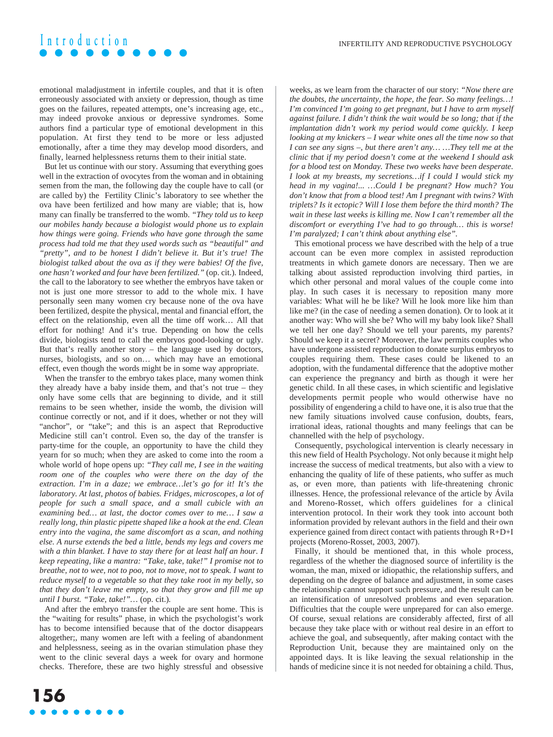## **Introduction**

emotional maladjustment in infertile couples, and that it is often erroneously associated with anxiety or depression, though as time goes on the failures, repeated attempts, one's increasing age, etc., may indeed provoke anxious or depressive syndromes. Some authors find a particular type of emotional development in this population. At first they tend to be more or less adjusted emotionally, after a time they may develop mood disorders, and finally, learned helplessness returns them to their initial state.

But let us continue with our story. Assuming that everything goes well in the extraction of ovocytes from the woman and in obtaining semen from the man, the following day the couple have to call (or are called by) the Fertility Clinic's laboratory to see whether the ova have been fertilized and how many are viable; that is, how many can finally be transferred to the womb. *"They told us to keep our mobiles handy because a biologist would phone us to explain how things were going. Friends who have gone through the same process had told me that they used words such as "beautiful" and "pretty", and to be honest I didn't believe it. But it's true! The biologist talked about the ova as if they were babies! Of the five, one hasn't worked and four have been fertilized."* (op. cit.)*.* Indeed, the call to the laboratory to see whether the embryos have taken or not is just one more stressor to add to the whole mix. I have personally seen many women cry because none of the ova have been fertilized, despite the physical, mental and financial effort, the effect on the relationship, even all the time off work… All that effort for nothing! And it's true. Depending on how the cells divide, biologists tend to call the embryos good-looking or ugly. But that's really another story – the language used by doctors, nurses, biologists, and so on… which may have an emotional effect, even though the words might be in some way appropriate.

When the transfer to the embryo takes place, many women think they already have a baby inside them, and that's not true – they only have some cells that are beginning to divide, and it still remains to be seen whether, inside the womb, the division will continue correctly or not, and if it does, whether or not they will "anchor", or "take"; and this is an aspect that Reproductive Medicine still can't control. Even so, the day of the transfer is party-time for the couple, an opportunity to have the child they yearn for so much; when they are asked to come into the room a whole world of hope opens up: *"They call me, I see in the waiting room one of the couples who were there on the day of the extraction. I'm in a daze; we embrace…let's go for it! It's the laboratory. At last, photos of babies. Fridges, microscopes, a lot of people for such a small space, and a small cubicle with an examining bed… at last, the doctor comes over to me… I saw a really long, thin plastic pipette shaped like a hook at the end. Clean entry into the vagina, the same discomfort as a scan, and nothing else. A nurse extends the bed a little, bends my legs and covers me with a thin blanket. I have to stay there for at least half an hour. I keep repeating, like a mantra: "Take, take, take!" I promise not to breathe, not to wee, not to poo, not to move, not to speak. I want to reduce myself to a vegetable so that they take root in my belly, so that they don't leave me empty, so that they grow and fill me up until I burst. "Take, take!"…* (op. cit.)*.*

And after the embryo transfer the couple are sent home. This is the "waiting for results" phase, in which the psychologist's work has to become intensified because that of the doctor disappears altogether;, many women are left with a feeling of abandonment and helplessness, seeing as in the ovarian stimulation phase they went to the clinic several days a week for ovary and hormone checks. Therefore, these are two highly stressful and obsessive weeks, as we learn from the character of our story: *"Now there are the doubts, the uncertainty, the hope, the fear. So many feelings…! I'm convinced I'm going to get pregnant, but I have to arm myself against failure. I didn't think the wait would be so long; that if the implantation didn't work my period would come quickly. I keep looking at my knickers – I wear white ones all the time now so that I can see any signs –, but there aren't any… …They tell me at the clinic that if my period doesn't come at the weekend I should ask for a blood test on Monday. These two weeks have been desperate. I look at my breasts, my secretions…if I could I would stick my head in my vagina!... …Could I be pregnant? How much? You don't know that from a blood test! Am I pregnant with twins? With triplets? Is it ectopic? Will I lose them before the third month? The wait in these last weeks is killing me. Now I can't remember all the discomfort or everything I've had to go through… this is worse! I'm paralyzed; I can't think about anything else".*

This emotional process we have described with the help of a true account can be even more complex in assisted reproduction treatments in which gamete donors are necessary. Then we are talking about assisted reproduction involving third parties, in which other personal and moral values of the couple come into play. In such cases it is necessary to reposition many more variables: What will he be like? Will he look more like him than like me? (in the case of needing a semen donation). Or to look at it another way: Who will she be? Who will my baby look like? Shall we tell her one day? Should we tell your parents, my parents? Should we keep it a secret? Moreover, the law permits couples who have undergone assisted reproduction to donate surplus embryos to couples requiring them. These cases could be likened to an adoption, with the fundamental difference that the adoptive mother can experience the pregnancy and birth as though it were her genetic child. In all these cases, in which scientific and legislative developments permit people who would otherwise have no possibility of engendering a child to have one, it is also true that the new family situations involved cause confusion, doubts, fears, irrational ideas, rational thoughts and many feelings that can be channelled with the help of psychology.

Consequently, psychological intervention is clearly necessary in this new field of Health Psychology. Not only because it might help increase the success of medical treatments, but also with a view to enhancing the quality of life of these patients, who suffer as much as, or even more, than patients with life-threatening chronic illnesses. Hence, the professional relevance of the article by Ávila and Moreno-Rosset, which offers guidelines for a clinical intervention protocol. In their work they took into account both information provided by relevant authors in the field and their own experience gained from direct contact with patients through R+D+I projects (Moreno-Rosset, 2003, 2007).

Finally, it should be mentioned that, in this whole process, regardless of the whether the diagnosed source of infertility is the woman, the man, mixed or idiopathic, the relationship suffers, and depending on the degree of balance and adjustment, in some cases the relationship cannot support such pressure, and the result can be an intensification of unresolved problems and even separation. Difficulties that the couple were unprepared for can also emerge. Of course, sexual relations are considerably affected, first of all because they take place with or without real desire in an effort to achieve the goal, and subsequently, after making contact with the Reproduction Unit, because they are maintained only on the appointed days. It is like leaving the sexual relationship in the hands of medicine since it is not needed for obtaining a child. Thus,